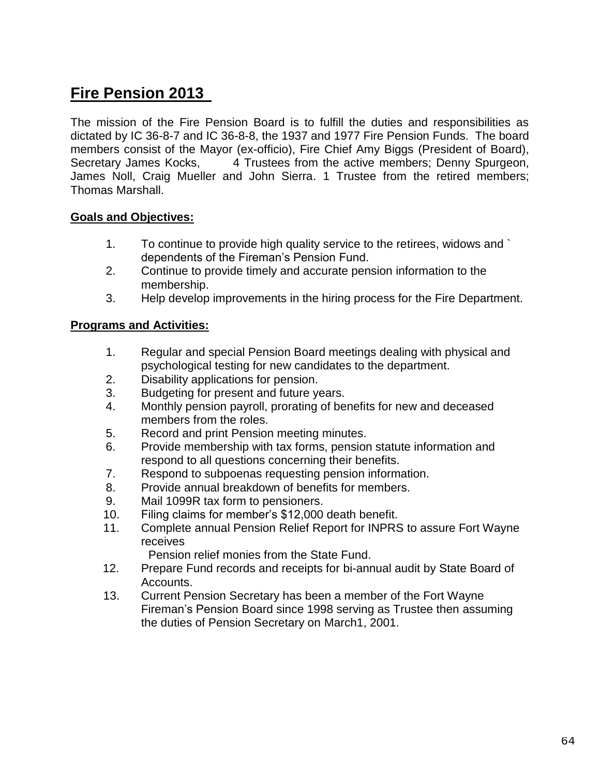# **Fire Pension 2013**

The mission of the Fire Pension Board is to fulfill the duties and responsibilities as dictated by IC 36-8-7 and IC 36-8-8, the 1937 and 1977 Fire Pension Funds. The board members consist of the Mayor (ex-officio), Fire Chief Amy Biggs (President of Board), Secretary James Kocks, 4 Trustees from the active members; Denny Spurgeon, James Noll, Craig Mueller and John Sierra. 1 Trustee from the retired members; Thomas Marshall.

#### **Goals and Objectives:**

- 1. To continue to provide high quality service to the retirees, widows and ` dependents of the Fireman's Pension Fund.
- 2. Continue to provide timely and accurate pension information to the membership.
- 3. Help develop improvements in the hiring process for the Fire Department.

#### **Programs and Activities:**

- 1. Regular and special Pension Board meetings dealing with physical and psychological testing for new candidates to the department.
- 2. Disability applications for pension.
- 3. Budgeting for present and future years.
- 4. Monthly pension payroll, prorating of benefits for new and deceased members from the roles.
- 5. Record and print Pension meeting minutes.
- 6. Provide membership with tax forms, pension statute information and respond to all questions concerning their benefits.
- 7. Respond to subpoenas requesting pension information.
- 8. Provide annual breakdown of benefits for members.
- 9. Mail 1099R tax form to pensioners.
- 10. Filing claims for member's \$12,000 death benefit.
- 11. Complete annual Pension Relief Report for INPRS to assure Fort Wayne receives

Pension relief monies from the State Fund.

- 12. Prepare Fund records and receipts for bi-annual audit by State Board of Accounts.
- 13. Current Pension Secretary has been a member of the Fort Wayne Fireman's Pension Board since 1998 serving as Trustee then assuming the duties of Pension Secretary on March1, 2001.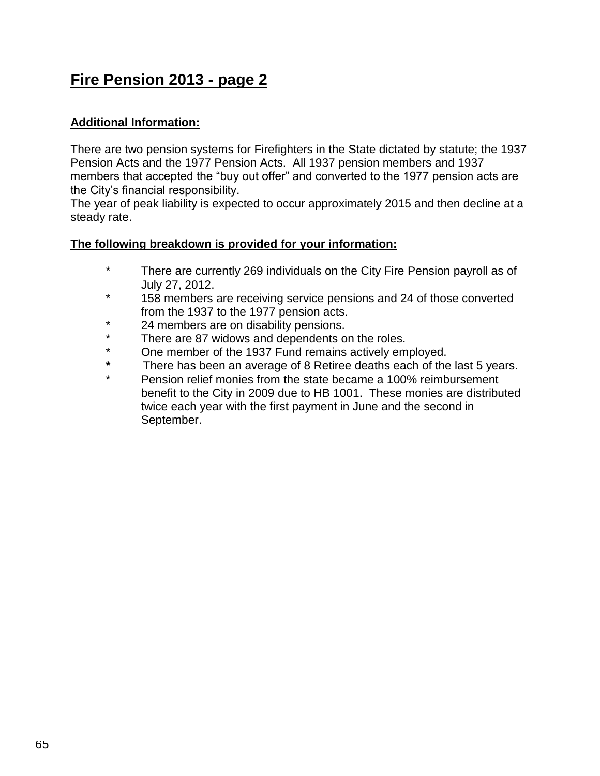# **Fire Pension 2013 - page 2**

### **Additional Information:**

There are two pension systems for Firefighters in the State dictated by statute; the 1937 Pension Acts and the 1977 Pension Acts. All 1937 pension members and 1937 members that accepted the "buy out offer" and converted to the 1977 pension acts are the City's financial responsibility.

The year of peak liability is expected to occur approximately 2015 and then decline at a steady rate.

### **The following breakdown is provided for your information:**

- \* There are currently 269 individuals on the City Fire Pension payroll as of July 27, 2012.
- \* 158 members are receiving service pensions and 24 of those converted from the 1937 to the 1977 pension acts.
- \* 24 members are on disability pensions.<br>\* There are 87 widows and dependents a
- \* There are 87 widows and dependents on the roles.<br>And momber of the 1937 Fund remains actively am
- One member of the 1937 Fund remains actively employed.
- \* There has been an average of 8 Retiree deaths each of the last 5 years.
- Pension relief monies from the state became a 100% reimbursement benefit to the City in 2009 due to HB 1001. These monies are distributed twice each year with the first payment in June and the second in September.